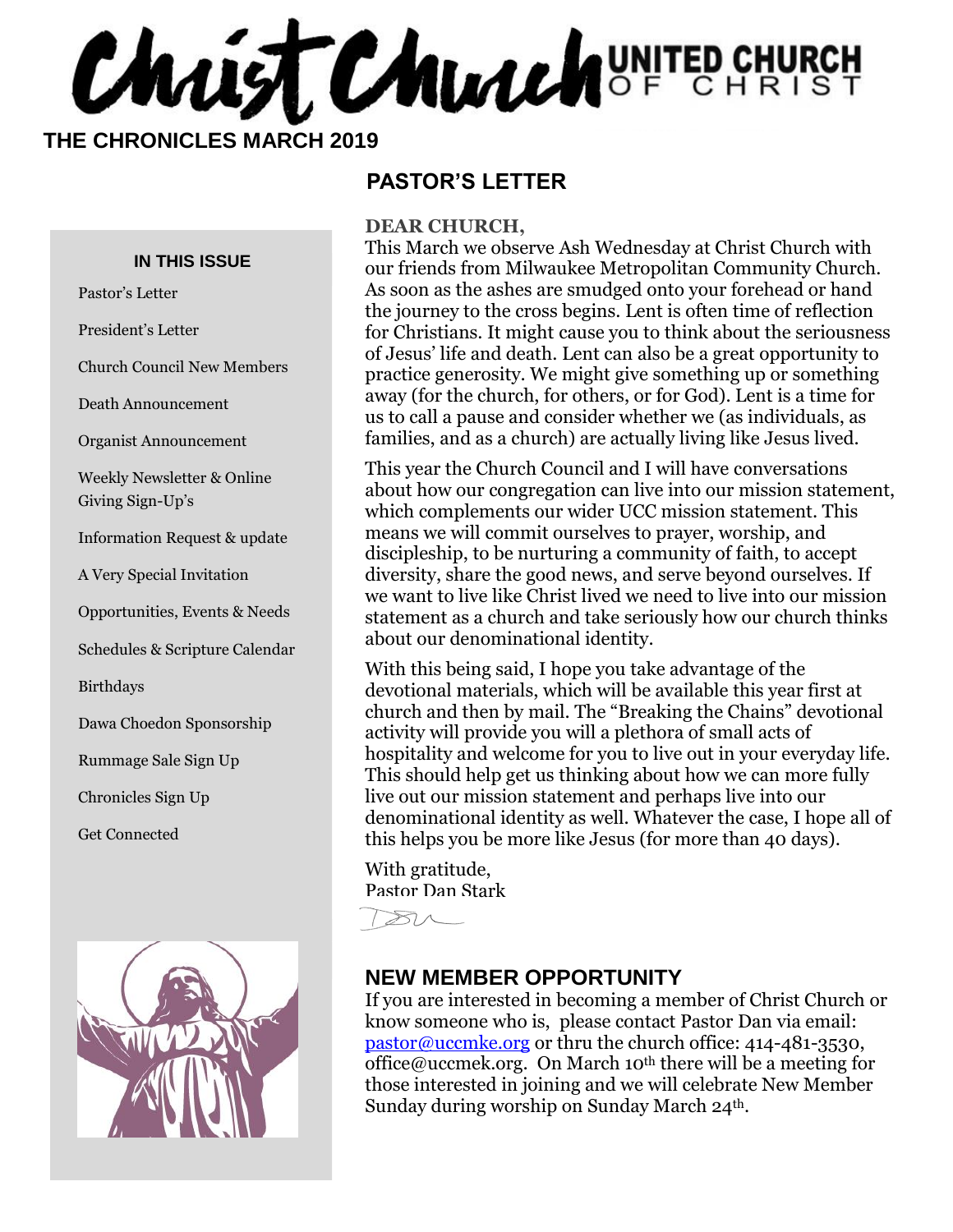Chaist Church UNITED CHURCH

 **THE CHRONICLES MARCH 2019**

#### **IN THIS ISSUE**

Pastor's Letter

President's Letter

Church Council New Members

Death Announcement

Organist Announcement

Weekly Newsletter & Online Giving Sign-Up's

Information Request & update

A Very Special Invitation

Opportunities, Events & Needs

Schedules & Scripture Calendar

Birthdays

Dawa Choedon Sponsorship

Rummage Sale Sign Up

Chronicles Sign Up

Get Connected



#### **PASTOR'S LETTER**

#### **DEAR CHURCH,**

This March we observe Ash Wednesday at Christ Church with our friends from Milwaukee Metropolitan Community Church. As soon as the ashes are smudged onto your forehead or hand the journey to the cross begins. Lent is often time of reflection for Christians. It might cause you to think about the seriousness of Jesus' life and death. Lent can also be a great opportunity to practice generosity. We might give something up or something away (for the church, for others, or for God). Lent is a time for us to call a pause and consider whether we (as individuals, as families, and as a church) are actually living like Jesus lived.

This year the Church Council and I will have conversations about how our congregation can live into our mission statement, which complements our wider UCC mission statement. This means we will commit ourselves to prayer, worship, and discipleship, to be nurturing a community of faith, to accept diversity, share the good news, and serve beyond ourselves. If we want to live like Christ lived we need to live into our mission statement as a church and take seriously how our church thinks about our denominational identity.

With this being said, I hope you take advantage of the devotional materials, which will be available this year first at church and then by mail. The "Breaking the Chains" devotional activity will provide you will a plethora of small acts of hospitality and welcome for you to live out in your everyday life. This should help get us thinking about how we can more fully live out our mission statement and perhaps live into our denominational identity as well. Whatever the case, I hope all of this helps you be more like Jesus (for more than 40 days).

With gratitude, Pastor Dan Stark

 $80-$ 

#### **NEW MEMBER OPPORTUNITY**

If you are interested in becoming a member of Christ Church or know someone who is, please contact Pastor Dan via email: [pastor@uccmke.org](mailto:pastor@uccmke.org) or thru the church office: 414-481-3530, office@uccmek.org. On March 10<sup>th</sup> there will be a meeting for those interested in joining and we will celebrate New Member Sunday during worship on Sunday March 24<sup>th</sup>.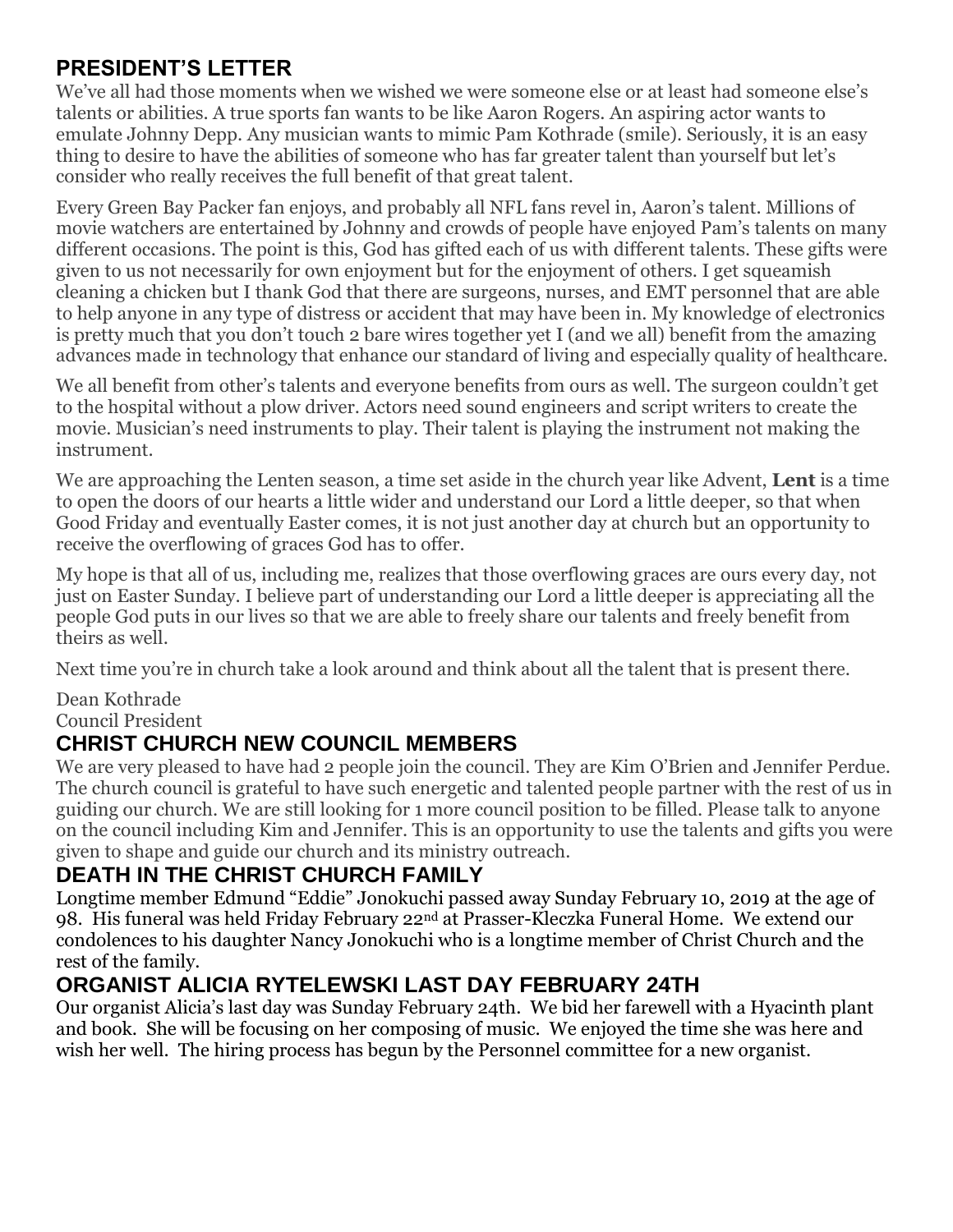### **PRESIDENT'S LETTER**

We've all had those moments when we wished we were someone else or at least had someone else's talents or abilities. A true sports fan wants to be like Aaron Rogers. An aspiring actor wants to emulate Johnny Depp. Any musician wants to mimic Pam Kothrade (smile). Seriously, it is an easy thing to desire to have the abilities of someone who has far greater talent than yourself but let's consider who really receives the full benefit of that great talent.

Every Green Bay Packer fan enjoys, and probably all NFL fans revel in, Aaron's talent. Millions of movie watchers are entertained by Johnny and crowds of people have enjoyed Pam's talents on many different occasions. The point is this, God has gifted each of us with different talents. These gifts were given to us not necessarily for own enjoyment but for the enjoyment of others. I get squeamish cleaning a chicken but I thank God that there are surgeons, nurses, and EMT personnel that are able to help anyone in any type of distress or accident that may have been in. My knowledge of electronics is pretty much that you don't touch 2 bare wires together yet I (and we all) benefit from the amazing advances made in technology that enhance our standard of living and especially quality of healthcare.

We all benefit from other's talents and everyone benefits from ours as well. The surgeon couldn't get to the hospital without a plow driver. Actors need sound engineers and script writers to create the movie. Musician's need instruments to play. Their talent is playing the instrument not making the instrument.

We are approaching the Lenten season, a time set aside in the church year like Advent, **Lent** is a time to open the doors of our hearts a little wider and understand our Lord a little deeper, so that when Good Friday and eventually Easter comes, it is not just another day at church but an opportunity to receive the overflowing of graces God has to offer.

My hope is that all of us, including me, realizes that those overflowing graces are ours every day, not just on Easter Sunday. I believe part of understanding our Lord a little deeper is appreciating all the people God puts in our lives so that we are able to freely share our talents and freely benefit from theirs as well.

Next time you're in church take a look around and think about all the talent that is present there.

Dean Kothrade Council President

### **CHRIST CHURCH NEW COUNCIL MEMBERS**

We are very pleased to have had 2 people join the council. They are Kim O'Brien and Jennifer Perdue. The church council is grateful to have such energetic and talented people partner with the rest of us in guiding our church. We are still looking for 1 more council position to be filled. Please talk to anyone on the council including Kim and Jennifer. This is an opportunity to use the talents and gifts you were given to shape and guide our church and its ministry outreach.

### **DEATH IN THE CHRIST CHURCH FAMILY**

Longtime member Edmund "Eddie" Jonokuchi passed away Sunday February 10, 2019 at the age of 98. His funeral was held Friday February 22<sup>nd</sup> at Prasser-Kleczka Funeral Home. We extend our condolences to his daughter Nancy Jonokuchi who is a longtime member of Christ Church and the rest of the family.

### **ORGANIST ALICIA RYTELEWSKI LAST DAY FEBRUARY 24TH**

Our organist Alicia's last day was Sunday February 24th. We bid her farewell with a Hyacinth plant and book. She will be focusing on her composing of music. We enjoyed the time she was here and wish her well. The hiring process has begun by the Personnel committee for a new organist.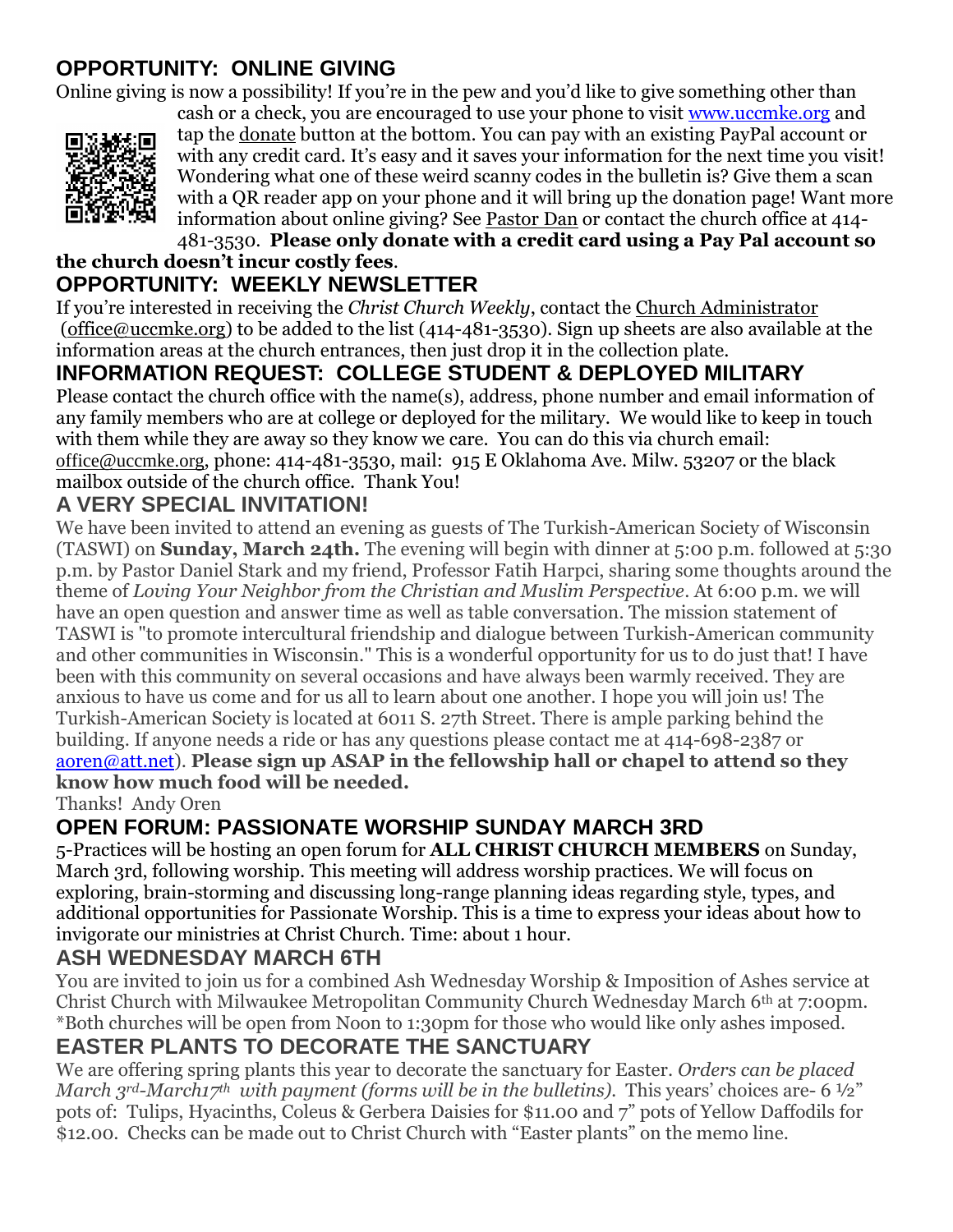#### **OPPORTUNITY: ONLINE GIVING**

Online giving is now a possibility! If you're in the pew and you'd like to give something other than



cash or a check, you are encouraged to use your phone to visit [www.uccmke.org](http://www.uccmke.org/) and tap the [donate](https://www.paypal.com/cgi-bin/webscr?cmd=_s-xclick&hosted_button_id=D7W2VTZZBHZNU) button at the bottom. You can pay with an existing PayPal account or with any credit card. It's easy and it saves your information for the next time you visit! Wondering what one of these weird scanny codes in the bulletin is? Give them a scan with a QR reader app on your phone and it will bring up the donation page! Want more information about online giving? See [Pastor Dan](mailto:dan_stark@att.net) or contact the church office at 414- 481-3530. **Please only donate with a credit card using a Pay Pal account so** 

#### **the church doesn't incur costly fees**. **OPPORTUNITY: WEEKLY NEWSLETTER**

If you're interested in receiving the *Christ Church Weekly*, contact the [Church Administrator](mailto:christ-church@att.net) (office@uccmke.org) to be added to the list (414-481-3530). Sign up sheets are also available at the information areas at the church entrances, then just drop it in the collection plate.

# **INFORMATION REQUEST: COLLEGE STUDENT & DEPLOYED MILITARY**

Please contact the church office with the name(s), address, phone number and email information of any family members who are at college or deployed for the military. We would like to keep in touch with them while they are away so they know we care. You can do this via church email: office@uccmke.org, phone: 414-481-3530, mail: 915 E Oklahoma Ave. Milw. 53207 or the black mailbox outside of the church office. Thank You!

#### **A VERY SPECIAL INVITATION!**

We have been invited to attend an evening as guests of The Turkish-American Society of Wisconsin (TASWI) on **Sunday, March 24th.** The evening will begin with dinner at 5:00 p.m. followed at 5:30 p.m. by Pastor Daniel Stark and my friend, Professor Fatih Harpci, sharing some thoughts around the theme of *Loving Your Neighbor from the Christian and Muslim Perspective*. At 6:00 p.m. we will have an open question and answer time as well as table conversation. The mission statement of TASWI is "to promote intercultural friendship and dialogue between Turkish-American community and other communities in Wisconsin." This is a wonderful opportunity for us to do just that! I have been with this community on several occasions and have always been warmly received. They are anxious to have us come and for us all to learn about one another. I hope you will join us! The Turkish-American Society is located at 6011 S. 27th Street. There is ample parking behind the building. If anyone needs a ride or has any questions please contact me at 414-698-2387 or [aoren@att.net\)](mailto:aoren@att.net). **Please sign up ASAP in the fellowship hall or chapel to attend so they know how much food will be needed.**

Thanks! Andy Oren

### **OPEN FORUM: PASSIONATE WORSHIP SUNDAY MARCH 3RD**

5-Practices will be hosting an open forum for **ALL CHRIST CHURCH MEMBERS** on Sunday, March 3rd, following worship. This meeting will address worship practices. We will focus on exploring, brain-storming and discussing long-range planning ideas regarding style, types, and additional opportunities for Passionate Worship. This is a time to express your ideas about how to invigorate our ministries at Christ Church. Time: about 1 hour.

#### **ASH WEDNESDAY MARCH 6TH**

You are invited to join us for a combined Ash Wednesday Worship & Imposition of Ashes service at Christ Church with Milwaukee Metropolitan Community Church Wednesday March 6th at 7:00pm. \*Both churches will be open from Noon to 1:30pm for those who would like only ashes imposed.

#### **EASTER PLANTS TO DECORATE THE SANCTUARY**

We are offering spring plants this year to decorate the sanctuary for Easter. *Orders can be placed March 3rd-March17th with payment (forms will be in the bulletins).* This years' choices are- 6 ½" pots of: Tulips, Hyacinths, Coleus & Gerbera Daisies for \$11.00 and 7" pots of Yellow Daffodils for \$12.00. Checks can be made out to Christ Church with "Easter plants" on the memo line.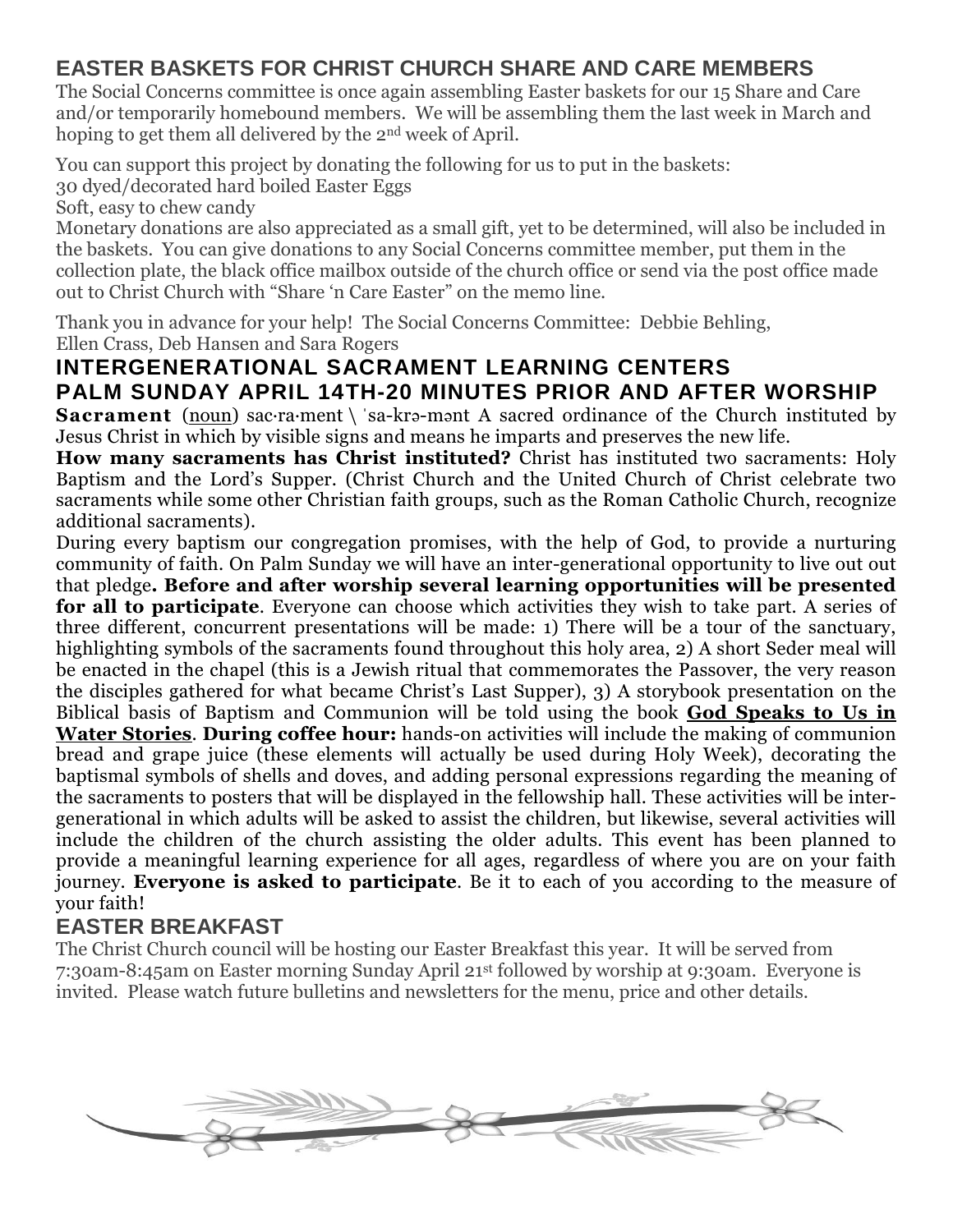#### **EASTER BASKETS FOR CHRIST CHURCH SHARE AND CARE MEMBERS**

The Social Concerns committee is once again assembling Easter baskets for our 15 Share and Care and/or temporarily homebound members. We will be assembling them the last week in March and hoping to get them all delivered by the 2nd week of April.

You can support this project by donating the following for us to put in the baskets: 30 dyed/decorated hard boiled Easter Eggs

Soft, easy to chew candy

Monetary donations are also appreciated as a small gift, yet to be determined, will also be included in the baskets. You can give donations to any Social Concerns committee member, put them in the collection plate, the black office mailbox outside of the church office or send via the post office made out to Christ Church with "Share 'n Care Easter" on the memo line.

Thank you in advance for your help! The Social Concerns Committee: Debbie Behling, Ellen Crass, Deb Hansen and Sara Rogers

### **INTERGENERATIONAL SACRAMENT LEARNING CENTERS PALM SUNDAY APRIL 14TH-20 MINUTES PRIOR AND AFTER WORSHIP**

**Sacrament** [\(noun\)](https://www.merriam-webster.com/dictionary/noun) sac-ra-ment \ 'sa-kra-mant A sacred ordinance of the Church instituted by Jesus Christ in which by visible signs and means he imparts and preserves the new life.

**How many sacraments has Christ instituted?** Christ has instituted two sacraments: Holy Baptism and the Lord's Supper. (Christ Church and the United Church of Christ celebrate two sacraments while some other Christian faith groups, such as the Roman Catholic Church, recognize additional sacraments).

During every baptism our congregation promises, with the help of God, to provide a nurturing community of faith. On Palm Sunday we will have an inter-generational opportunity to live out out that pledge**. Before and after worship several learning opportunities will be presented for all to participate**. Everyone can choose which activities they wish to take part. A series of three different, concurrent presentations will be made: 1) There will be a tour of the sanctuary, highlighting symbols of the sacraments found throughout this holy area, 2) A short Seder meal will be enacted in the chapel (this is a Jewish ritual that commemorates the Passover, the very reason the disciples gathered for what became Christ's Last Supper), 3) A storybook presentation on the Biblical basis of Baptism and Communion will be told using the book **God Speaks to Us in Water Stories**. **During coffee hour:** hands-on activities will include the making of communion bread and grape juice (these elements will actually be used during Holy Week), decorating the baptismal symbols of shells and doves, and adding personal expressions regarding the meaning of the sacraments to posters that will be displayed in the fellowship hall. These activities will be intergenerational in which adults will be asked to assist the children, but likewise, several activities will include the children of the church assisting the older adults. This event has been planned to provide a meaningful learning experience for all ages, regardless of where you are on your faith journey. **Everyone is asked to participate**. Be it to each of you according to the measure of your faith!

#### **EASTER BREAKFAST**

The Christ Church council will be hosting our Easter Breakfast this year. It will be served from 7:30am-8:45am on Easter morning Sunday April 21st followed by worship at 9:30am. Everyone is invited. Please watch future bulletins and newsletters for the menu, price and other details.

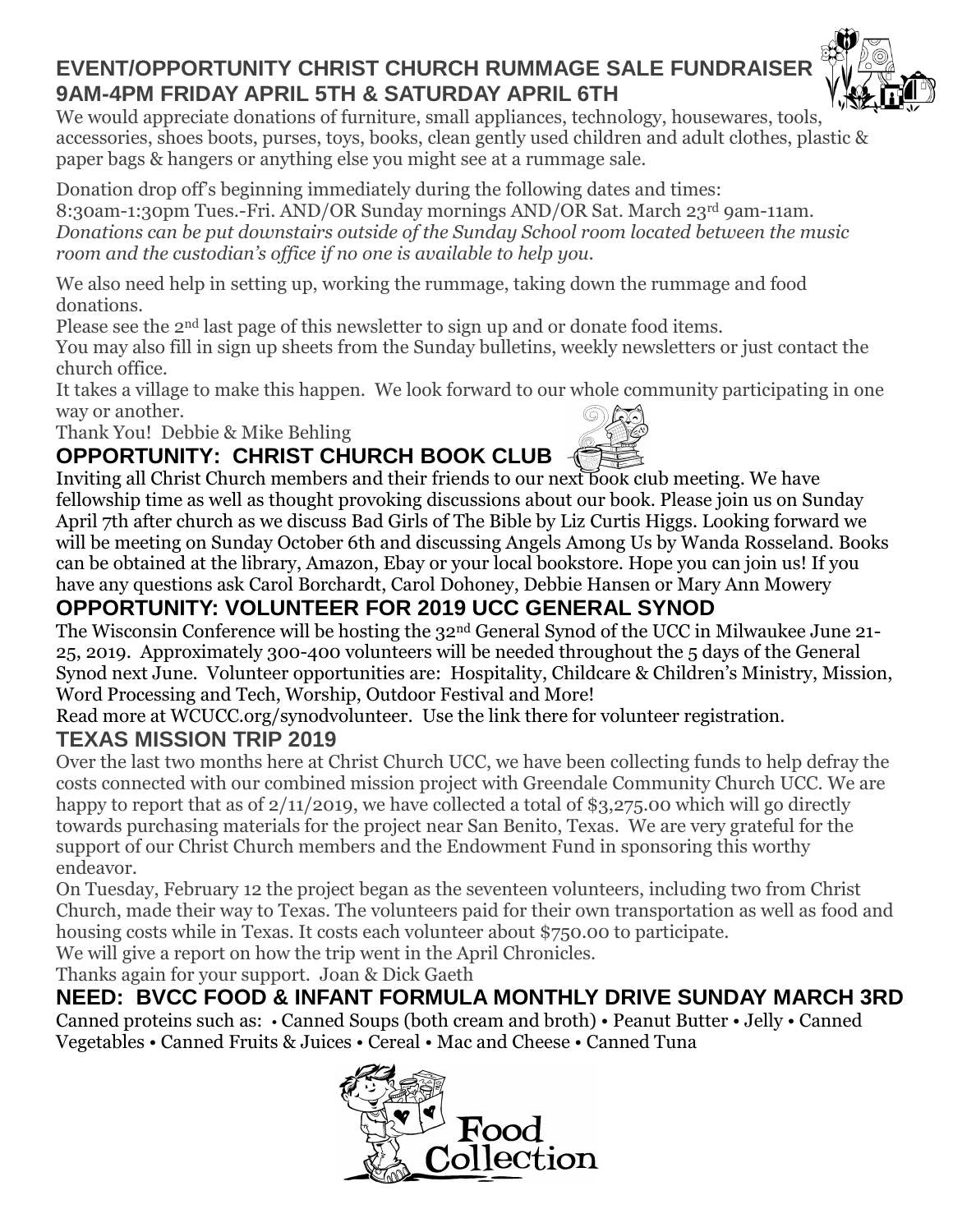# **EVENT/OPPORTUNITY CHRIST CHURCH RUMMAGE SALE FUNDRAISER 9AM-4PM FRIDAY APRIL 5TH & SATURDAY APRIL 6TH**

We would appreciate donations of furniture, small appliances, technology, housewares, tools, accessories, shoes boots, purses, toys, books, clean gently used children and adult clothes, plastic & paper bags & hangers or anything else you might see at a rummage sale.

Donation drop off's beginning immediately during the following dates and times: 8:30am-1:30pm Tues.-Fri. AND/OR Sunday mornings AND/OR Sat. March 23rd 9am-11am. *Donations can be put downstairs outside of the Sunday School room located between the music room and the custodian's office if no one is available to help you.*

We also need help in setting up, working the rummage, taking down the rummage and food donations.

Please see the 2nd last page of this newsletter to sign up and or donate food items.

You may also fill in sign up sheets from the Sunday bulletins, weekly newsletters or just contact the church office.

It takes a village to make this happen. We look forward to our whole community participating in one way or another.

Thank You! Debbie & Mike Behling

# **OPPORTUNITY: CHRIST CHURCH BOOK CLUB**

Inviting all Christ Church members and their friends to our next book club meeting. We have fellowship time as well as thought provoking discussions about our book. Please join us on Sunday April 7th after church as we discuss Bad Girls of The Bible by Liz Curtis Higgs. Looking forward we will be meeting on Sunday October 6th and discussing Angels Among Us by Wanda Rosseland. Books can be obtained at the library, Amazon, Ebay or your local bookstore. Hope you can join us! If you have any questions ask Carol Borchardt, Carol Dohoney, Debbie Hansen or Mary Ann Mowery

# **OPPORTUNITY: VOLUNTEER FOR 2019 UCC GENERAL SYNOD**

The Wisconsin Conference will be hosting the 32nd General Synod of the UCC in Milwaukee June 21- 25, 2019. Approximately 300-400 volunteers will be needed throughout the 5 days of the General Synod next June. Volunteer opportunities are: Hospitality, Childcare & Children's Ministry, Mission, Word Processing and Tech, Worship, Outdoor Festival and More!

Read more at WCUCC.org/synodvolunteer. Use the link there for volunteer registration.

#### **TEXAS MISSION TRIP 2019**

Over the last two months here at Christ Church UCC, we have been collecting funds to help defray the costs connected with our combined mission project with Greendale Community Church UCC. We are happy to report that as of  $2/11/2019$ , we have collected a total of \$3,275.00 which will go directly towards purchasing materials for the project near San Benito, Texas. We are very grateful for the support of our Christ Church members and the Endowment Fund in sponsoring this worthy endeavor.

On Tuesday, February 12 the project began as the seventeen volunteers, including two from Christ Church, made their way to Texas. The volunteers paid for their own transportation as well as food and housing costs while in Texas. It costs each volunteer about \$750.00 to participate.

We will give a report on how the trip went in the April Chronicles.

Thanks again for your support. Joan & Dick Gaeth

**NEED: BVCC FOOD & INFANT FORMULA MONTHLY DRIVE SUNDAY MARCH 3RD** Canned proteins such as: • Canned Soups (both cream and broth) • Peanut Butter • Jelly • Canned Vegetables • Canned Fruits & Juices • Cereal • Mac and Cheese • Canned Tuna





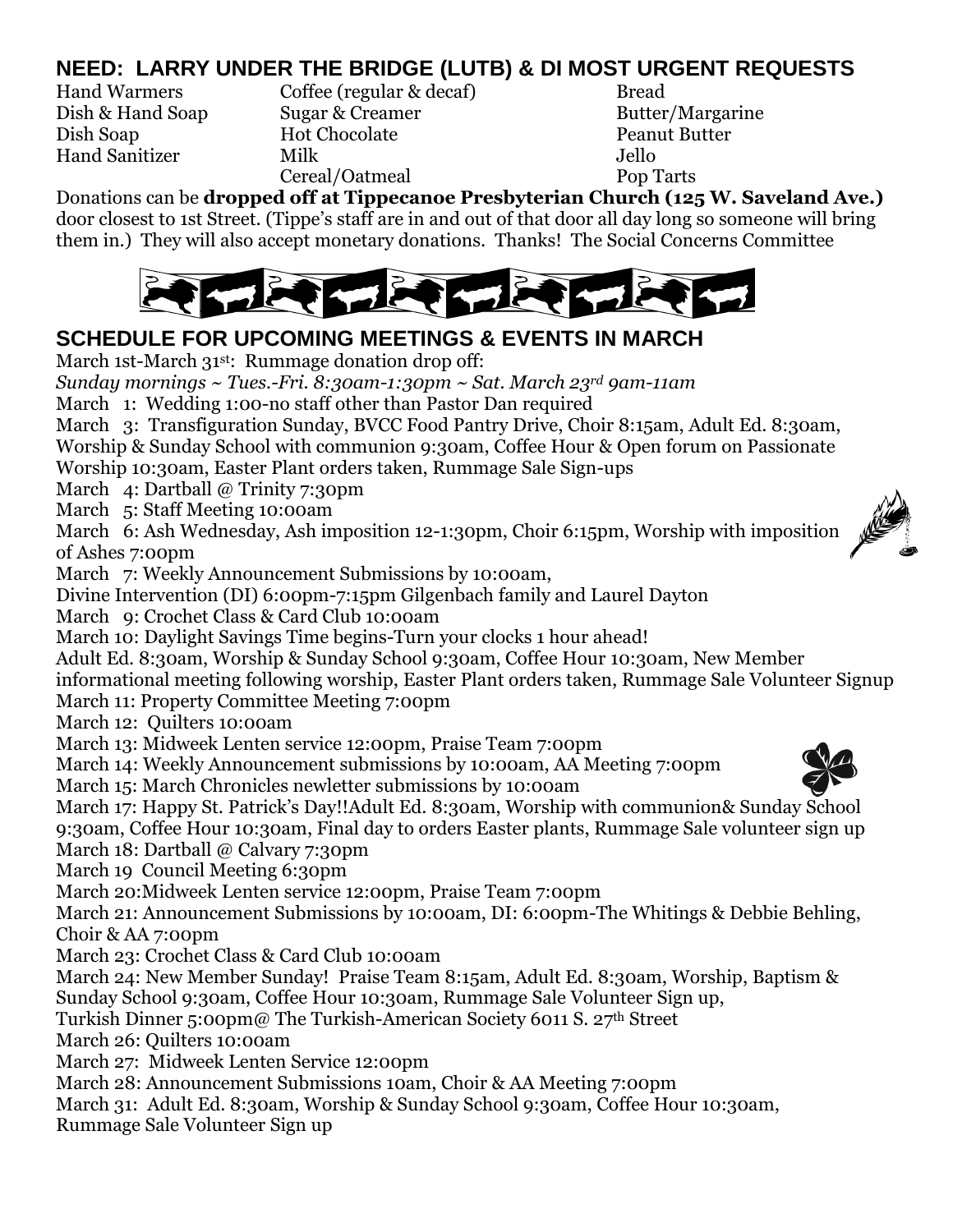# **NEED: LARRY UNDER THE BRIDGE (LUTB) & DI MOST URGENT REQUESTS**

Hand Warmers Coffee (regular & decaf) Bread Dish & Hand Soap Sugar & Creamer Butter/Margarine Dish Soap Hot Chocolate Peanut Butter Hand Sanitizer Milk Jello Cereal/Oatmeal Pop Tarts

Donations can be **dropped off at Tippecanoe Presbyterian Church (125 W. Saveland Ave.)** door closest to 1st Street. (Tippe's staff are in and out of that door all day long so someone will bring them in.) They will also accept monetary donations. Thanks! The Social Concerns Committee



### **SCHEDULE FOR UPCOMING MEETINGS & EVENTS IN MARCH**

March 1st-March 31<sup>st</sup>: Rummage donation drop off:

*Sunday mornings ~ Tues.-Fri. 8:30am-1:30pm ~ Sat. March 23rd 9am-11am*

March 1: Wedding 1:00-no staff other than Pastor Dan required

March 3: Transfiguration Sunday, BVCC Food Pantry Drive, Choir 8:15am, Adult Ed. 8:30am, Worship & Sunday School with communion 9:30am, Coffee Hour & Open forum on Passionate Worship 10:30am, Easter Plant orders taken, Rummage Sale Sign-ups

March 4: Dartball @ Trinity 7:30pm

March 5: Staff Meeting 10:00am

March 6: Ash Wednesday, Ash imposition 12-1:30pm, Choir 6:15pm, Worship with imposition of Ashes 7:00pm

March 7: Weekly Announcement Submissions by 10:00am,

Divine Intervention (DI) 6:00pm-7:15pm Gilgenbach family and Laurel Dayton

March 9: Crochet Class & Card Club 10:00am

March 10: Daylight Savings Time begins-Turn your clocks 1 hour ahead!

Adult Ed. 8:30am, Worship & Sunday School 9:30am, Coffee Hour 10:30am, New Member

informational meeting following worship, Easter Plant orders taken, Rummage Sale Volunteer Signup March 11: Property Committee Meeting 7:00pm

March 12: Quilters 10:00am

March 13: Midweek Lenten service 12:00pm, Praise Team 7:00pm

March 14: Weekly Announcement submissions by 10:00am, AA Meeting 7:00pm

March 15: March Chronicles newletter submissions by 10:00am

March 17: Happy St. Patrick's Day!!Adult Ed. 8:30am, Worship with communion& Sunday School

9:30am, Coffee Hour 10:30am, Final day to orders Easter plants, Rummage Sale volunteer sign up

March 18: Dartball @ Calvary 7:30pm

March 19 Council Meeting 6:30pm

March 20:Midweek Lenten service 12:00pm, Praise Team 7:00pm

March 21: Announcement Submissions by 10:00am, DI: 6:00pm-The Whitings & Debbie Behling, Choir & AA 7:00pm

March 23: Crochet Class & Card Club 10:00am

March 24: New Member Sunday! Praise Team 8:15am, Adult Ed. 8:30am, Worship, Baptism &

Sunday School 9:30am, Coffee Hour 10:30am, Rummage Sale Volunteer Sign up,

Turkish Dinner 5:00pm@ The Turkish-American Society 6011 S. 27th Street

March 26: Quilters 10:00am

March 27: Midweek Lenten Service 12:00pm

March 28: Announcement Submissions 10am, Choir & AA Meeting 7:00pm

March 31: Adult Ed. 8:30am, Worship & Sunday School 9:30am, Coffee Hour 10:30am,

Rummage Sale Volunteer Sign up



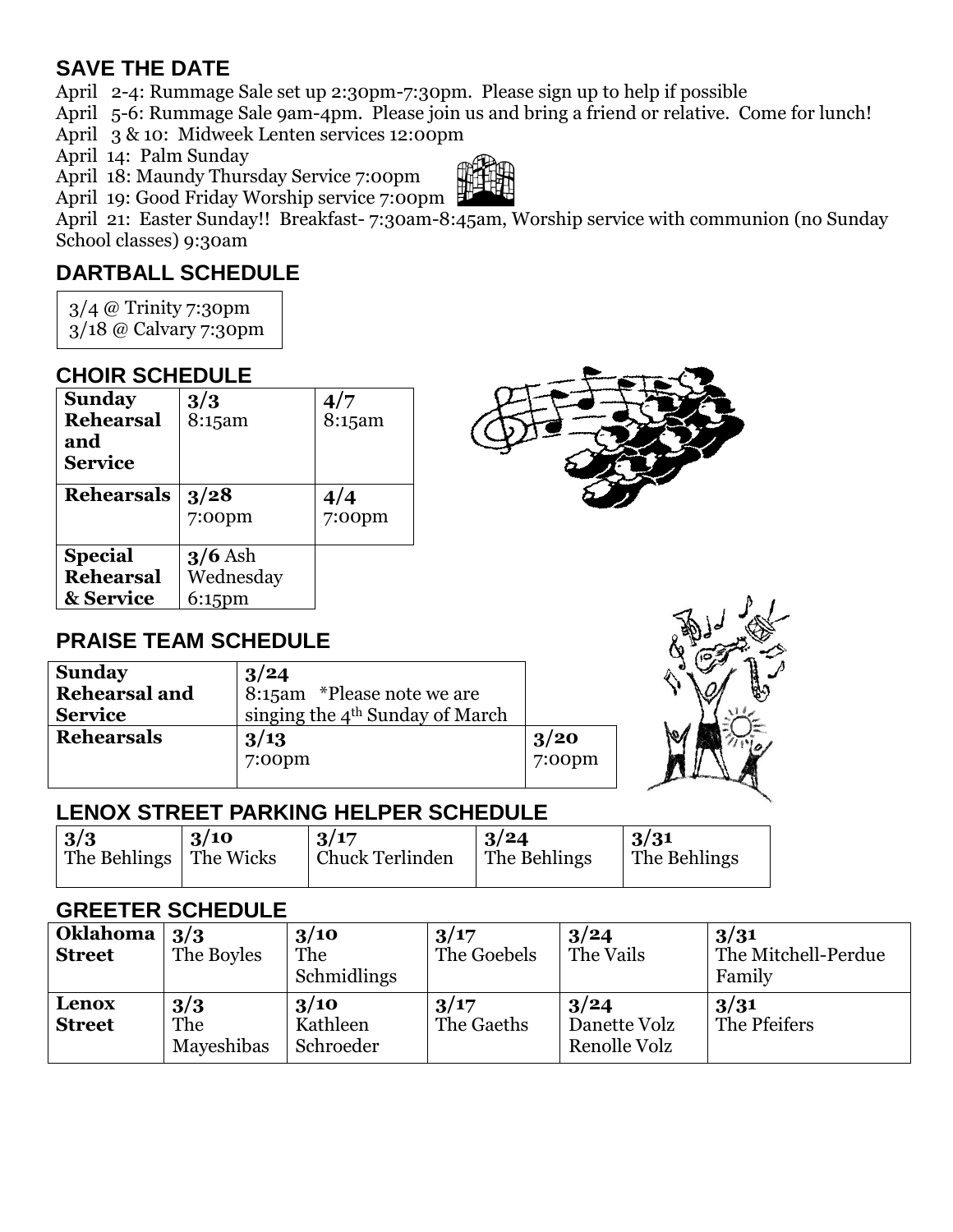#### **SAVE THE DATE**

April 2-4: Rummage Sale set up 2:30pm-7:30pm. Please sign up to help if possible

April 5-6: Rummage Sale 9am-4pm. Please join us and bring a friend or relative. Come for lunch!

April 3 & 10: Midweek Lenten services 12:00pm

April 14: Palm Sunday

April 18: Maundy Thursday Service 7:00pm



April 21: Easter Sunday!! Breakfast- 7:30am-8:45am, Worship service with communion (no Sunday School classes) 9:30am

### **DARTBALL SCHEDULE**

3/4 @ Trinity 7:30pm

3/18 @ Calvary 7:30pm

### **CHOIR SCHEDULE**

| <b>Sunday</b><br><b>Rehearsal</b><br>and<br><b>Service</b> | 3/3<br>8:15am                       | 4/7<br>8:15am    |
|------------------------------------------------------------|-------------------------------------|------------------|
| <b>Rehearsals</b>                                          | 3/28<br>$7:00$ pm                   | 4/4<br>$7:00$ pm |
| <b>Special</b><br><b>Rehearsal</b><br>& Service            | $3/6$ Ash<br>Wednesday<br>$6:15$ pm |                  |

### **PRAISE TEAM SCHEDULE**

| <b>Sunday</b>        | 3/24                                        |           |   |
|----------------------|---------------------------------------------|-----------|---|
| <b>Rehearsal and</b> | 8:15am *Please note we are                  |           |   |
| <b>Service</b>       | singing the 4 <sup>th</sup> Sunday of March |           |   |
| <b>Rehearsals</b>    | 3/13                                        | 3/20      | b |
|                      | 7:00pm                                      | $7:00$ pm |   |



### **LENOX STREET PARKING HELPER SCHEDULE**

| 3/3                      | 3/10 | 3/17                   | 3/24         | 3/31         |
|--------------------------|------|------------------------|--------------|--------------|
| The Behlings   The Wicks |      | <b>Chuck Terlinden</b> | The Behlings | The Behlings |
|                          |      |                        |              |              |

#### **GREETER SCHEDULE**

| Oklahoma<br><b>Street</b> | 3/3<br>The Boyles        | 3/10<br>The<br>Schmidlings    | 3/17<br>The Goebels | 3/24<br>The Vails                    | 3/31<br>The Mitchell-Perdue<br>Family |
|---------------------------|--------------------------|-------------------------------|---------------------|--------------------------------------|---------------------------------------|
| Lenox<br><b>Street</b>    | 3/3<br>The<br>Mayeshibas | 3/10<br>Kathleen<br>Schroeder | 3/17<br>The Gaeths  | 3/24<br>Danette Volz<br>Renolle Volz | 3/31<br>The Pfeifers                  |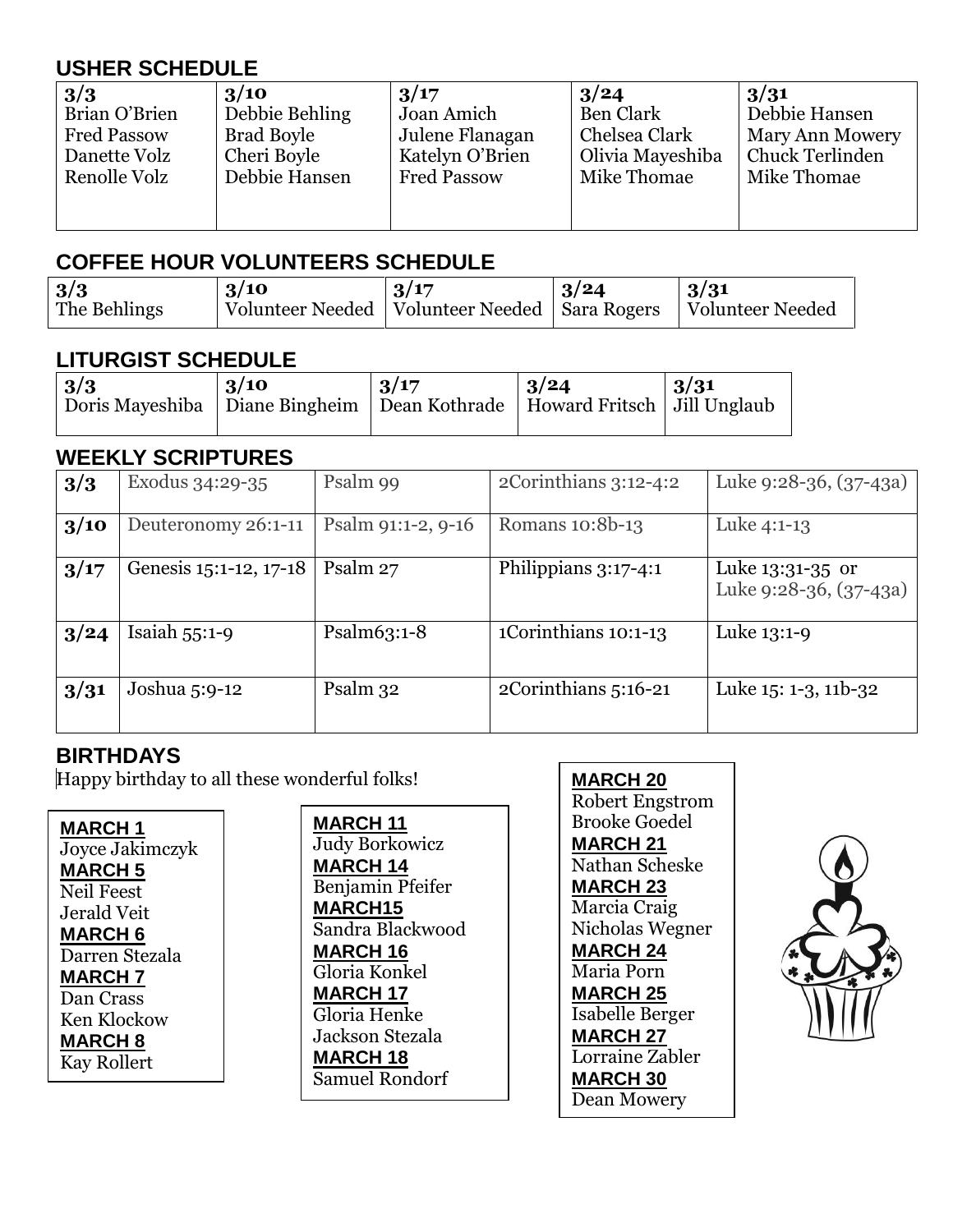# **USHER SCHEDULE**

| 3/3                | 3/10           | 3/17               | 3/24             | 3/31                   |
|--------------------|----------------|--------------------|------------------|------------------------|
| Brian O'Brien      | Debbie Behling | Joan Amich         | Ben Clark        | Debbie Hansen          |
| <b>Fred Passow</b> | Brad Boyle     | Julene Flanagan    | Chelsea Clark    | <b>Mary Ann Mowery</b> |
| Danette Volz       | Cheri Boyle    | Katelyn O'Brien    | Olivia Mayeshiba | Chuck Terlinden        |
| Renolle Volz       | Debbie Hansen  | <b>Fred Passow</b> | Mike Thomae      | Mike Thomae            |
|                    |                |                    |                  |                        |

#### **COFFEE HOUR VOLUNTEERS SCHEDULE**

| 3/3          | $\frac{3}{10}$                                                       | 13/17 | $\frac{3}{24}$ | $\frac{3}{3}$ |
|--------------|----------------------------------------------------------------------|-------|----------------|---------------|
| The Behlings | Volunteer Needed   Volunteer Needed   Sara Rogers   Volunteer Needed |       |                |               |

#### **LITURGIST SCHEDULE**

| 3/3<br>Doris Mayeshiba   Diane Bingheim   Dean Kothrade   Howard Fritsch   Jill Unglaub | 3/10 | 3/17 | $\frac{3}{24}$ | $\mid 3/31$ |
|-----------------------------------------------------------------------------------------|------|------|----------------|-------------|
|                                                                                         |      |      |                |             |

#### **WEEKLY SCRIPTURES**

| 3/3  | Exodus 34:29-35        | Psalm 99           | $2$ Corinthians $3:12-4:2$ | Luke 9:28-36, (37-43a)                     |
|------|------------------------|--------------------|----------------------------|--------------------------------------------|
| 3/10 | Deuteronomy 26:1-11    | Psalm 91:1-2, 9-16 | Romans 10:8b-13            | Luke 4:1-13                                |
| 3/17 | Genesis 15:1-12, 17-18 | Psalm 27           | Philippians 3:17-4:1       | Luke 13:31-35 or<br>Luke 9:28-36, (37-43a) |
| 3/24 | Isaiah $55:1-9$        | Psalm $63:1-8$     | 1Corinthians 10:1-13       | Luke 13:1-9                                |
| 3/31 | Joshua 5:9-12          | Psalm 32           | 2Corinthians 5:16-21       | Luke 15: 1-3, 11b-32                       |

### **BIRTHDAYS**

Happy birthday to all these wonderful folks!

| MARCH 1            |
|--------------------|
| Joyce Jakimczyk    |
| <b>MARCH 5</b>     |
| <b>Neil Feest</b>  |
| Jerald Veit        |
| MARCH 6            |
| Darren Stezala     |
| <b>MARCH 7</b>     |
| Dan Crass          |
| Ken Klockow        |
| <b>MARCH 8</b>     |
| <b>Kay Rollert</b> |

**MARCH 11** Judy Borkowicz **MARCH 14** Benjamin Pfeifer **MARCH15** Sandra Blackwood **MARCH 16** Gloria Konkel **MARCH 17** Gloria Henke Jackson Stezala **MARCH 18** Samuel Rondorf

#### **MARCH 20**

Robert Engstrom Brooke Goedel **MARCH 21** Nathan Scheske **MARCH 23** Marcia Craig Nicholas Wegner **MARCH 24** Maria Porn **MARCH 25** Isabelle Berger **MARCH 27** Lorraine Zabler **MARCH 30** Dean Mowery

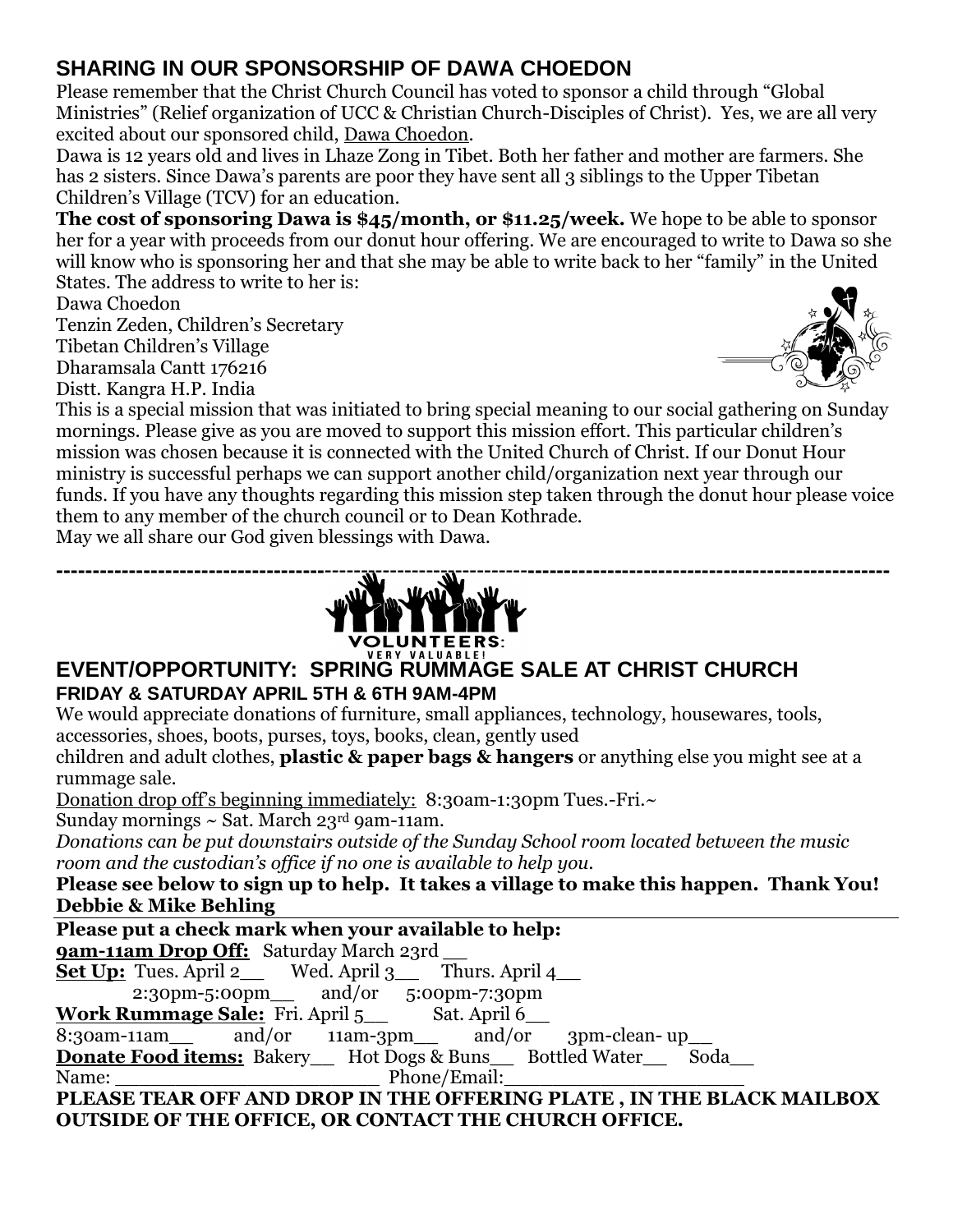### **SHARING IN OUR SPONSORSHIP OF DAWA CHOEDON**

Please remember that the Christ Church Council has voted to sponsor a child through "Global Ministries" (Relief organization of UCC & Christian Church-Disciples of Christ). Yes, we are all very excited about our sponsored child, Dawa Choedon.

Dawa is 12 years old and lives in Lhaze Zong in Tibet. Both her father and mother are farmers. She has 2 sisters. Since Dawa's parents are poor they have sent all 3 siblings to the Upper Tibetan Children's Village (TCV) for an education.

**The cost of sponsoring Dawa is \$45/month, or \$11.25/week.** We hope to be able to sponsor her for a year with proceeds from our donut hour offering. We are encouraged to write to Dawa so she will know who is sponsoring her and that she may be able to write back to her "family" in the United States. The address to write to her is:

Dawa Choedon

Tenzin Zeden, Children's Secretary

Tibetan Children's Village

Dharamsala Cantt 176216

Distt. Kangra H.P. India



This is a special mission that was initiated to bring special meaning to our social gathering on Sunday mornings. Please give as you are moved to support this mission effort. This particular children's mission was chosen because it is connected with the United Church of Christ. If our Donut Hour ministry is successful perhaps we can support another child/organization next year through our funds. If you have any thoughts regarding this mission step taken through the donut hour please voice them to any member of the church council or to Dean Kothrade.

May we all share our God given blessings with Dawa.



#### **EVENT/OPPORTUNITY: SPRING RUMMAGE SALE AT CHRIST CHURCH FRIDAY & SATURDAY APRIL 5TH & 6TH 9AM-4PM**

We would appreciate donations of furniture, small appliances, technology, housewares, tools, accessories, shoes, boots, purses, toys, books, clean, gently used

children and adult clothes, **plastic & paper bags & hangers** or anything else you might see at a rummage sale.

Donation drop of f's beginning immediately: 8:30am-1:30pm Tues.-Fri.~

Sunday mornings  $\sim$  Sat. March 23rd 9am-11am.

*Donations can be put downstairs outside of the Sunday School room located between the music room and the custodian's office if no one is available to help you.* 

**Please see below to sign up to help. It takes a village to make this happen. Thank You! Debbie & Mike Behling**

**Please put a check mark when your available to help:**

**9am-11am Drop Off:** Saturday March 23rd

**Set Up:** Tues. April 2 \_ Wed. April 3\_\_ Thurs. April 4\_\_

2:30pm-5:00pm\_\_ and/or 5:00pm-7:30pm

### **Work Rummage Sale:** Fri. April 5\_\_ Sat. April 6\_\_

 $8:30$ am-11am and/or 11am-3pm and/or 3pm-clean- up

**Donate Food items:** Bakery Hot Dogs & Buns Bottled Water Soda Name: Phone/Email:

**PLEASE TEAR OFF AND DROP IN THE OFFERING PLATE , IN THE BLACK MAILBOX OUTSIDE OF THE OFFICE, OR CONTACT THE CHURCH OFFICE.**